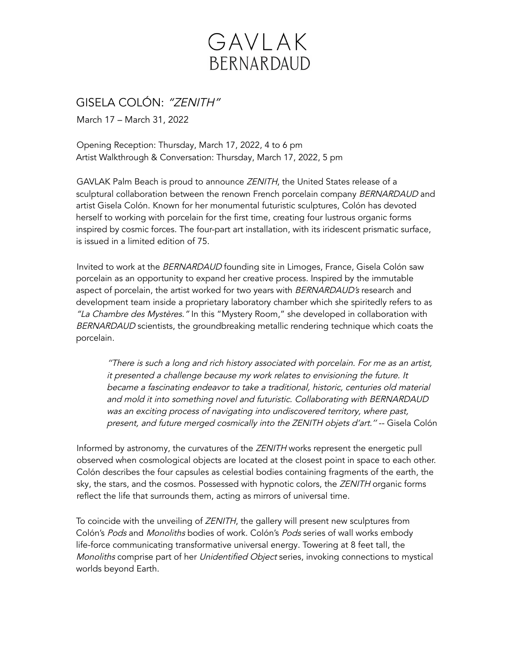## GAVLAK BERNARDAUD

GISELA COLÓN: "ZENITH"

March 17 – March 31, 2022

Opening Reception: Thursday, March 17, 2022, 4 to 6 pm Artist Walkthrough & Conversation: Thursday, March 17, 2022, 5 pm

GAVLAK Palm Beach is proud to announce ZENITH, the United States release of a sculptural collaboration between the renown French porcelain company BERNARDAUD and artist Gisela Colón. Known for her monumental futuristic sculptures, Colón has devoted herself to working with porcelain for the first time, creating four lustrous organic forms inspired by cosmic forces. The four-part art installation, with its iridescent prismatic surface, is issued in a limited edition of 75.

Invited to work at the BERNARDAUD founding site in Limoges, France, Gisela Colón saw porcelain as an opportunity to expand her creative process. Inspired by the immutable aspect of porcelain, the artist worked for two years with BERNARDAUD's research and development team inside a proprietary laboratory chamber which she spiritedly refers to as "La Chambre des Mystères." In this "Mystery Room," she developed in collaboration with BERNARDAUD scientists, the groundbreaking metallic rendering technique which coats the porcelain.

''There is such <sup>a</sup> long and rich history associated with porcelain. For me as an artist, it presented <sup>a</sup> challenge because my work relates to envisioning the future. It became <sup>a</sup> fascinating endeavor to take <sup>a</sup> traditional, historic, centuries old material and mold it into something novel and futuristic. Collaborating with BERNARDAUD was an exciting process of navigating into undiscovered territory, where past, present, and future merged cosmically into the ZENITH objets d'art.'' -- Gisela Colón

Informed by astronomy, the curvatures of the ZENITH works represent the energetic pull observed when cosmological objects are located at the closest point in space to each other. Colón describes the four capsules as celestial bodies containing fragments of the earth, the sky, the stars, and the cosmos. Possessed with hypnotic colors, the ZENITH organic forms reflect the life that surrounds them, acting as mirrors of universal time.

To coincide with the unveiling of ZENITH, the gallery will present new sculptures from Colón's Pods and Monoliths bodies of work. Colón's Pods series of wall works embody life-force communicating transformative universal energy. Towering at 8 feet tall, the Monoliths comprise part of her Unidentified Object series, invoking connections to mystical worlds beyond Earth.